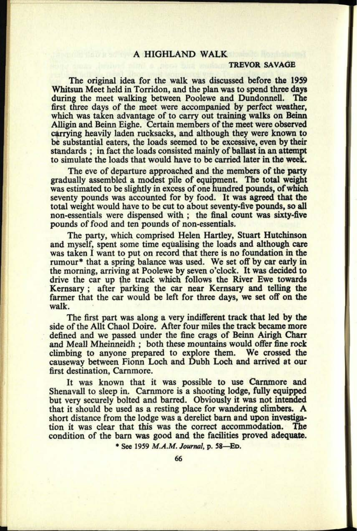## A HIGHLAND WALK

## **TREVOR SAVAGE**

The original idea for the walk was discussed before the 1959 Whitsun Meet held in Torridon, and the plan was to spend three days during the meet walking between Poolewe and Dundonnell. The first three days of the meet were accompanied by perfect weather, which was taken advantage of to carry out training walks on Beinn Alligin and Beinn Eighe. Certain members of the meet were observed carrying heavily laden rucksacks, and although they were known to be substantial eaters, the loads seemed to be excessive, even by their standards ; in fact the loads consisted mainly of ballast in an attempt to simulate the loads that would have to be carried later in the week.

The eve of departure approached and the members of the party gradually assembled a modest pile of equipment. The total weight was estimated to be slightly in excess of one hundred pounds, of which seventy pounds was accounted for by food. It was agreed that the total weight would have to be cut to about seventy-five pounds, so all non-essentials were dispensed with ; the final count was sixty-five pounds of food and ten pounds of non-essentials.

The party, which comprised Helen Hartley, Stuart Hutchinson and myself, spent some time equalising the loads and although care was taken I want to put on record that there is no foundation in the rumour<sup>\*</sup> that a spring balance was used. We set off by car early in the morning, arriving at Poolewe by seven <sup>o</sup>'clock. It was decided to drive the car up *ihe* track which follows the River Ewe towards Kernsary ; after parking the car near Kernsary and telling the farmer that the car would be left for three days, we set off on the walk.

The first part was along a very indifferent track that led by the side of the Allt Chaol Doire. After four miles the track became more defined and we passed under the fine crags of Beinn Airigh Charr and Meall Mheinneidh ; both these mountains would offer fine rock climbing to anyone prepared to explore them. We crossed the causeway between Fionn Loch and Dubh Loch and arrived at our first destination, Carnmore.

It was known that it was possible to use Carnmore and Shenavall to sleep in. Carnmore is a shooting lodge, fully equipped but very securely bolted and barred. Obviously it was not intended that it should be used as a resting place for wandering climbers. A short distance from the lodge was a derelict barn and upon investigation it was clear that this was the correct accommodation. The condition of the barn was good and the facilities proved adequate.

\* See 1959 *M.A.M. Journal,* p. 58 ED.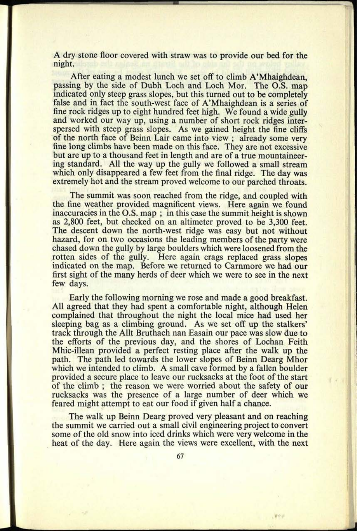A dry stone floor covered with straw was to provide our bed for the night.

After eating a modest lunch we set off to climb A'Mhaighdean, passing by the side of Dubh Loch and Loch Mor. The O.S. map indicated only steep grass slopes, but this turned out to be completely false and in fact the south-west face of A'Mhaighdean is a series of fine rock ridges up to eight hundred feet high. We found a wide gully and worked our way up, using a number of short rock ridges interspersed with steep grass slopes. As we gained height the fine cliffs of the north face of Beinn Lair came into view ; already some very fine long climbs have been made on this face. They are not excessive but are up to a thousand feet in length and are of a true mountaineering standard. All the way up the gully we followed a small stream which only disappeared a few feet from the final ridge. The day was extremely hot and the stream proved welcome to our parched throats.

The summit was soon reached from the ridge, and coupled with the fine weather provided magnificent views. Here again we found inaccuracies in the O.S. map ; in this case the summit height is shown as 2,800 feet, but checked on an altimeter proved to be 3,300 feet. The descent down the north-west ridge was easy but not without hazard, for on two occasions the leading members of the party were chased down the gully by large boulders which were loosened from the rotten sides of the gully. Here again crags replaced grass slopes indicated on the map. Before we returned to Carnmore we had our first sight of the many herds of deer which we were to see in the next few days.

Early the following morning we rose and made a good breakfast. All agreed that they had spent a comfortable night, although Helen complained that throughout the night the local mice had used her sleeping bag as a climbing ground. As we set off up the stalkers' track through the Allt Bruthach nan Easain our pace was slow due to the efforts of the previous day, and the shores of Lochan Feith Mhic-illean provided a perfect resting place after the walk up the path. The path led towards the lower slopes of Beinn Dearg Mhor which we intended to climb. A small cave formed by a fallen boulder provided a secure place to leave our rucksacks at the foot of the start of the climb ; the reason we were worried about the safety of our rucksacks was the presence of a large number of deer which we feared might attempt to eat our food if given half a chance.

The walk up Beinn Dearg proved very pleasant and on reaching the summit we carried out a small civil engineering project to convert some of the old snow into iced drinks which were very welcome in the heat of the day. Here again the views were excellent, with the next

**Vev**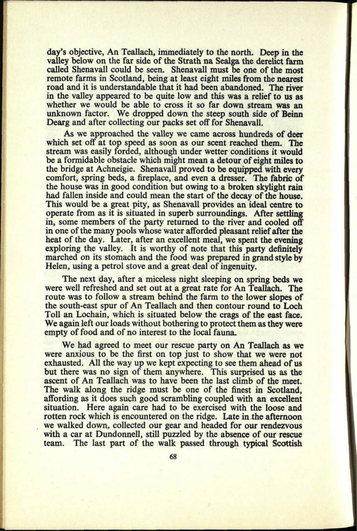day's objective, An Teallach, immediately to the north. Deep in the valley below on the far side of the Strath na Sealga the derelict farm called Shenavall could be seen. Shenavall must be one of the most remote farms in Scotland, being at least eight miles from the nearest road and it is understandable that it had been abandoned. The river in the valley appeared to be quite low and this was a relief to us as whether we would be able to cross it so far down stream was an unknown factor. We dropped down the steep south side of Beinn Dearg and after collecting our packs set off for Shenavall.

As we approached the valley we came across hundreds of deer which set off at top speed as soon as our scent reached them. The stream was easily forded, although under wetter conditions it would be a formidable obstacle which might mean a detour of eight miles to the bridge at Achneigie. Shenavall proved to be equipped with every comfort, spring beds, a fireplace, and even a dresser. The fabric of the house was in good condition but owing to a broken skylight rain had fallen inside and could mean the start of the decay of the house. This would be a great pity, as Shenavall provides an ideal centre to operate from as it is situated in superb surroundings. After settling in, some members of the party returned to the river and cooled off in one of the many pools whose water afforded pleasant relief after the heat of the day. Later, after an excellent meal, we spent the evening exploring the valley. It is worthy of note that this party definitely marched on its stomach and the food was prepared in grand style by Helen, using a petrol stove and a great deal of ingenuity.

The next day, after a miceless night sleeping on spring beds we were well refreshed and set out at <sup>a</sup>great rate for An Teallach. The route was to follow a stream behind the farm to the lower slopes of the south-east spur of An Teallach and then contour round to Loch Toll an Lochain, which is situated below the crags of the east face. We again left our loads without bothering to protect them as they were empty of food and of no interest to the local fauna.

We had agreed to meet our rescue party on An Teallach as we were anxious to be the first on top just to show that we were not exhausted. All the way up we kept expecting to see them ahead of us but there was no sign of them anywhere. This surprised us as the ascent of An Teallach was to have been the last climb of the meet. The walk along the ridge must be one of the finest in Scotland, affording as it does such good scrambling coupled with an excellent situation. Here again care had to be exercised with the loose and rotten rock which is encountered on the ridge. Late in the afternoon we walked down, collected our gear and headed for our rendezvous with a car at Dundonnell, still puzzled by the absence of our rescue team. The last part of the walk passed through typical Scottish